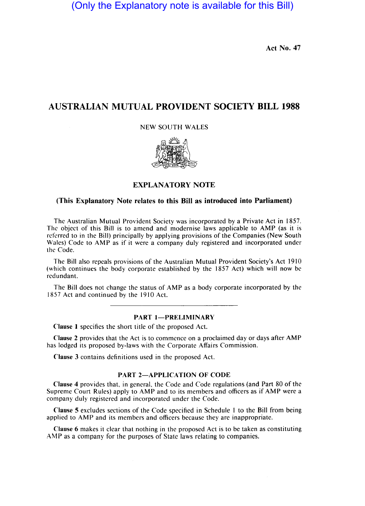(Only the Explanatory note is available for this Bill)

Act No. 47

# AUSTRALIAN MUTUAL PROVIDENT SOCIETY BILL 1988

NEW SOUTH WALES



# EXPLANATORY NOTE

# (This Explanatory Note relates to this Bill as introduced into Parliament)

The Australian Mutual Provident Society was incorporated by a Private Act in 1857. The object of this Bill is to amend and modernise laws applicable to AMP (as it is referred to in the Bill) principally by applying provisions of the Companies (New South Wales) Code to AMP as if it were a company duly registered and incorporated under the Code.

The Bill also repeals provisions of the Australian Mutual Provident Society's Act 1910 (which continues the body corporate established by the 1857 Act) which will now be redundant.

The Bill does not change the status of AMP as a body corporate incorporated by the 1857 Act and continued by the 1910 Act.

## PART 1-PRELIMINARY

Clause 1 specifies the short title of the proposed Act.

Clause 2 provides that the Act is to commence on a proclaimed day or days after AMP has lodged its proposed by-laws with the Corporate Affairs Commission.

Clause 3 contains dcfinitions used in the proposed Act.

#### PART 2-APPLICATION OF CODE

Clause 4 provides that, in general, the Code and Code regulations (and Part 80 of the Supreme Court Rules) apply to AMP and to its members and officers as if AMP were a company duly registered and incorporated under the Code.

Clause 5 excludcs sections of thc Code specified in Schedule I to the Bill from being applied to AMP and its members and officers because they are inappropriate.

Clause 6 makes it clear that nothing in thc proposed Act is to be taken as constituting AMP as a company for the purposes of State laws relating to companies.